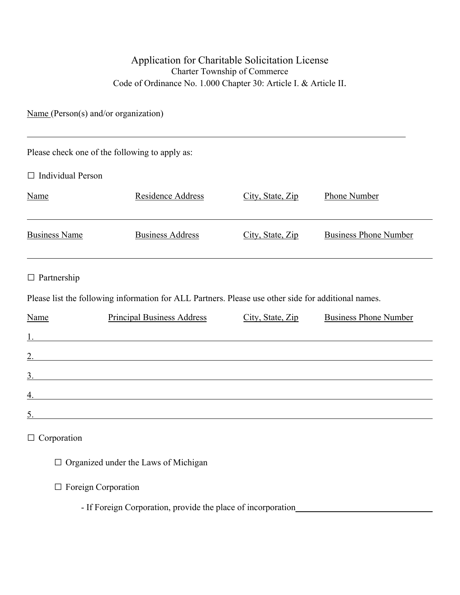## Application for Charitable Solicitation License Charter Township of Commerce Code of Ordinance No. 1.000 Chapter 30: Article I. & Article II.

Name (Person(s) and/or organization)

 $\overline{a}$ 

| Please check one of the following to apply as:                                                                       |                                                                                                                      |                  |                              |  |  |  |
|----------------------------------------------------------------------------------------------------------------------|----------------------------------------------------------------------------------------------------------------------|------------------|------------------------------|--|--|--|
| $\Box$ Individual Person                                                                                             |                                                                                                                      |                  |                              |  |  |  |
| Name                                                                                                                 | Residence Address                                                                                                    | City, State, Zip | Phone Number                 |  |  |  |
| <b>Business Name</b>                                                                                                 | <b>Business Address</b>                                                                                              | City, State, Zip | <b>Business Phone Number</b> |  |  |  |
| $\Box$ Partnership                                                                                                   |                                                                                                                      |                  |                              |  |  |  |
|                                                                                                                      | Please list the following information for ALL Partners. Please use other side for additional names.                  |                  |                              |  |  |  |
| Name                                                                                                                 | <b>Principal Business Address</b>                                                                                    | City, State, Zip | <b>Business Phone Number</b> |  |  |  |
|                                                                                                                      |                                                                                                                      |                  |                              |  |  |  |
|                                                                                                                      | $\overline{2}$ .                                                                                                     |                  |                              |  |  |  |
|                                                                                                                      | $\frac{3}{2}$                                                                                                        |                  |                              |  |  |  |
| <u> 1980 - Johann Barn, mars ann an t-Amhain Aonaich an t-Aonaich an t-Aonaich ann an t-Aonaich ann an t-Aonaich</u> |                                                                                                                      |                  |                              |  |  |  |
| 5.                                                                                                                   | <u> 1980 - Johann Barn, mars ann an t-Amhain Aonaich an t-Aonaich an t-Aonaich ann an t-Aonaich ann an t-Aonaich</u> |                  |                              |  |  |  |
| $\Box$ Corporation<br>$\Box$ Organized under the Laws of Michigan                                                    |                                                                                                                      |                  |                              |  |  |  |

□ Foreign Corporation

- If Foreign Corporation, provide the place of incorporation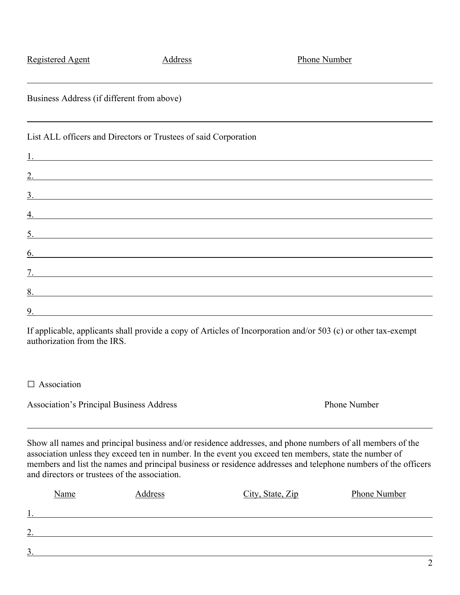| and directors or trustees of the association. |         | Show all names and principal business and/or residence addresses, and phone numbers of all members of the<br>association unless they exceed ten in number. In the event you exceed ten members, state the number of<br>members and list the names and principal business or residence addresses and telephone numbers of the officers |              |
|-----------------------------------------------|---------|---------------------------------------------------------------------------------------------------------------------------------------------------------------------------------------------------------------------------------------------------------------------------------------------------------------------------------------|--------------|
| Name                                          | Address | City, State, Zip                                                                                                                                                                                                                                                                                                                      | Phone Number |
|                                               |         |                                                                                                                                                                                                                                                                                                                                       |              |
|                                               |         |                                                                                                                                                                                                                                                                                                                                       |              |
| $\overline{3}$                                |         |                                                                                                                                                                                                                                                                                                                                       |              |
|                                               |         |                                                                                                                                                                                                                                                                                                                                       | 2            |
|                                               |         |                                                                                                                                                                                                                                                                                                                                       |              |

| Business Address (if different from above)<br><u> 1999 - Johann Stoff, deutscher Stoffen und der Stoffen und der Stoffen und der Stoffen und der Stoffen und der</u> |
|----------------------------------------------------------------------------------------------------------------------------------------------------------------------|
| List ALL officers and Directors or Trustees of said Corporation                                                                                                      |
|                                                                                                                                                                      |
| <u>2.</u>                                                                                                                                                            |
| $\frac{3}{2}$                                                                                                                                                        |
|                                                                                                                                                                      |
| 5.                                                                                                                                                                   |
| 6.                                                                                                                                                                   |
| 7 <sub>1</sub>                                                                                                                                                       |
| 8.<br>and the control of the control of the control of the control of the control of the control of the control of the                                               |
|                                                                                                                                                                      |

If applicable, applicants shall provide a copy of Articles of Incorporation and/or 503 (c) or other tax-exempt authorization from the IRS.

□ Association

l

Association's Principal Business Address **Phone Number** Phone Number

| $\overline{5}$ . |
|------------------|
| $\overline{6}$ . |
|                  |
| 8.               |
|                  |
|                  |

Registered Agent Address Address Phone Number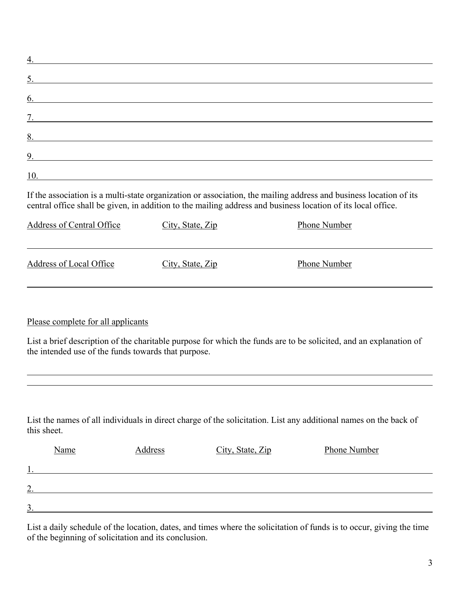| $\overline{4}$ .                                                                                                                                                                                                                  |
|-----------------------------------------------------------------------------------------------------------------------------------------------------------------------------------------------------------------------------------|
| 5.                                                                                                                                                                                                                                |
| $\underline{6.}$                                                                                                                                                                                                                  |
| $\overline{7}$ .                                                                                                                                                                                                                  |
| 8.                                                                                                                                                                                                                                |
| $\frac{9}{2}$                                                                                                                                                                                                                     |
|                                                                                                                                                                                                                                   |
| If the association is a multi-state organization or association, the mailing address and business location of its<br>central office shall be given, in addition to the mailing address and business location of its local office. |

| Address of Central Office | City, State, Zip | Phone Number |
|---------------------------|------------------|--------------|
| Address of Local Office   | City, State, Zip | Phone Number |

## Please complete for all applicants

 $\overline{a}$ 

List a brief description of the charitable purpose for which the funds are to be solicited, and an explanation of the intended use of the funds towards that purpose.

List the names of all individuals in direct charge of the solicitation. List any additional names on the back of this sheet.

|        | Name | Address | City, State, Zip | Phone Number |
|--------|------|---------|------------------|--------------|
|        |      |         |                  |              |
| ↑<br>∸ |      |         |                  |              |
| 3.     |      |         |                  |              |

List a daily schedule of the location, dates, and times where the solicitation of funds is to occur, giving the time of the beginning of solicitation and its conclusion.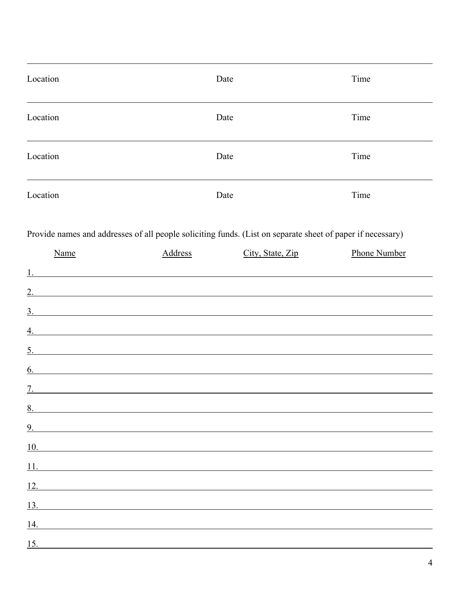| Location | Date | Time |
|----------|------|------|
| Location | Date | Time |
| Location | Date | Time |
| Location | Date | Time |

l

Provide names and addresses of all people soliciting funds. (List on separate sheet of paper if necessary)

|    | Name                                                          | <b>Address</b> | City, State, Zip  | Phone Number |
|----|---------------------------------------------------------------|----------------|-------------------|--------------|
| 1. | <u> 1989 - Johann Barn, mars an t-Amerikaansk politiker (</u> |                |                   |              |
|    |                                                               |                |                   |              |
|    |                                                               |                | $\frac{3}{2}$     |              |
|    |                                                               |                |                   |              |
|    |                                                               |                |                   |              |
|    |                                                               |                | $\frac{5}{2}$     |              |
|    |                                                               |                | $\underline{6}$ . |              |
|    |                                                               |                |                   |              |
|    |                                                               |                |                   |              |
|    |                                                               |                |                   |              |
|    |                                                               |                | $\frac{10}{2}$    |              |
|    |                                                               |                |                   |              |
|    | $\frac{12}{12}$                                               |                |                   |              |
|    | 13.                                                           |                |                   |              |
|    | 14.                                                           |                |                   |              |
|    | $\frac{15}{2}$                                                |                |                   |              |